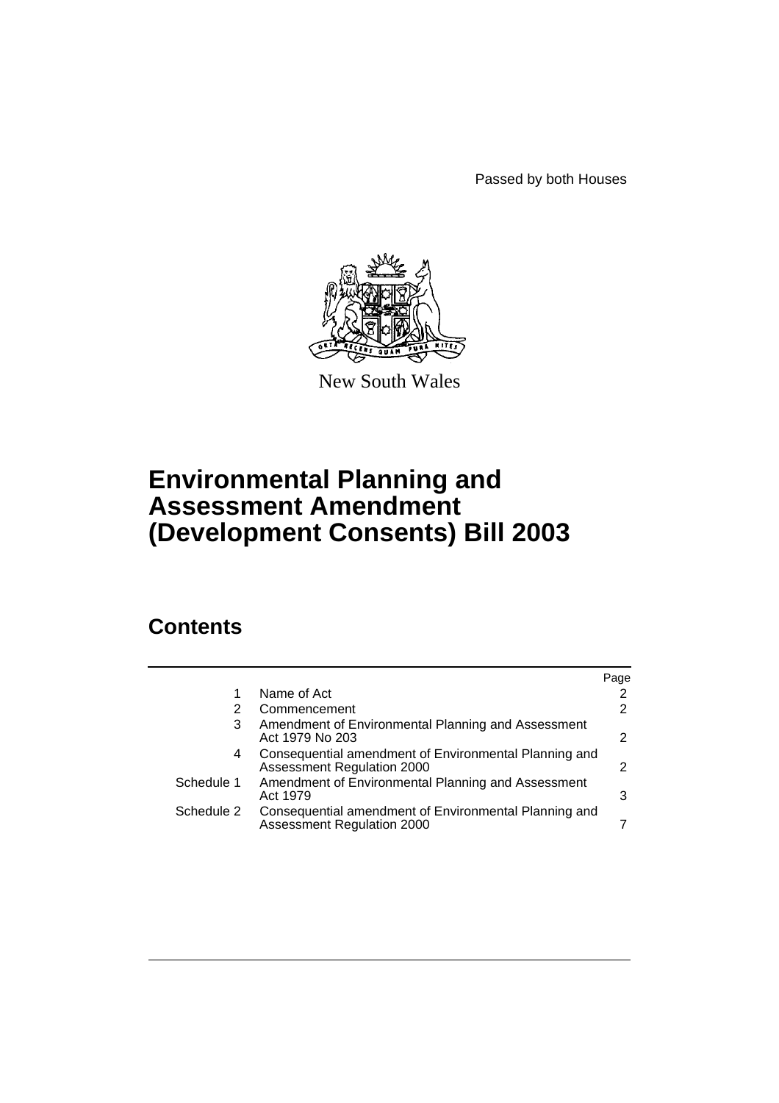Passed by both Houses



New South Wales

# **Environmental Planning and Assessment Amendment (Development Consents) Bill 2003**

# **Contents**

|            |                                                                                     | Page |
|------------|-------------------------------------------------------------------------------------|------|
|            | Name of Act                                                                         |      |
| 2          | Commencement                                                                        |      |
| 3          | Amendment of Environmental Planning and Assessment<br>Act 1979 No 203               | 2    |
| 4          | Consequential amendment of Environmental Planning and<br>Assessment Regulation 2000 | 2    |
| Schedule 1 | Amendment of Environmental Planning and Assessment<br>Act 1979                      | 3    |
| Schedule 2 | Consequential amendment of Environmental Planning and<br>Assessment Regulation 2000 |      |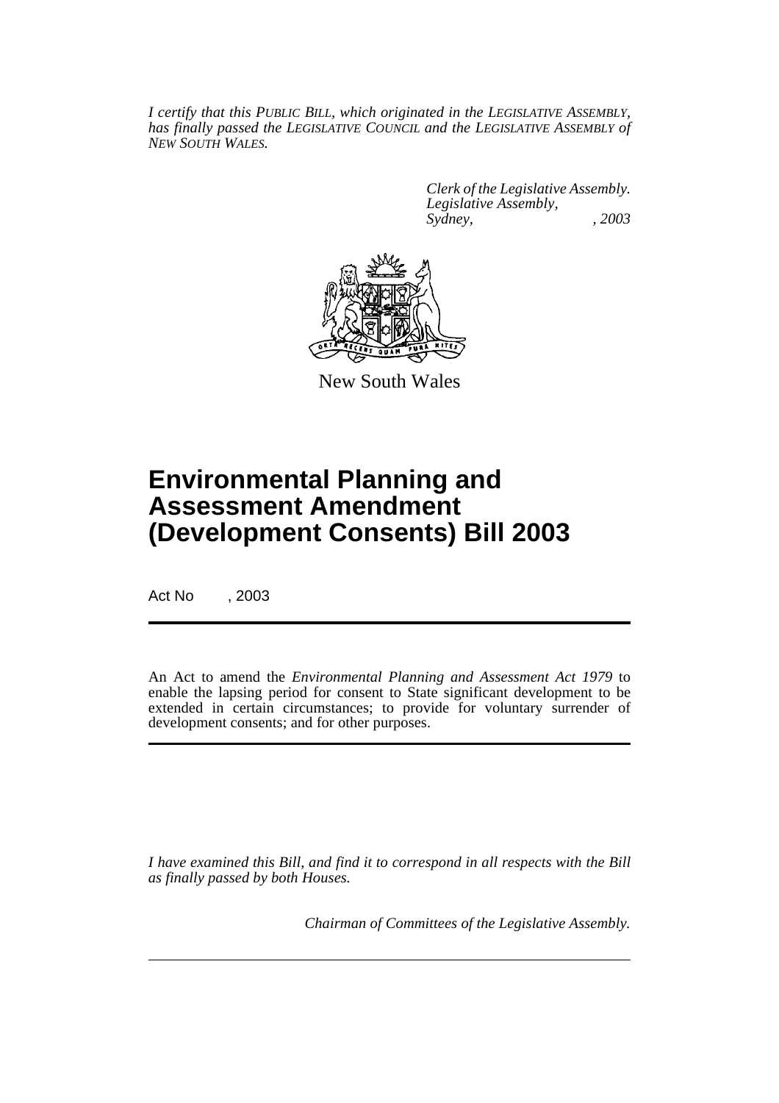*I certify that this PUBLIC BILL, which originated in the LEGISLATIVE ASSEMBLY, has finally passed the LEGISLATIVE COUNCIL and the LEGISLATIVE ASSEMBLY of NEW SOUTH WALES.*

> *Clerk of the Legislative Assembly. Legislative Assembly, Sydney, , 2003*



New South Wales

# **Environmental Planning and Assessment Amendment (Development Consents) Bill 2003**

Act No , 2003

An Act to amend the *Environmental Planning and Assessment Act 1979* to enable the lapsing period for consent to State significant development to be extended in certain circumstances; to provide for voluntary surrender of development consents; and for other purposes.

*I have examined this Bill, and find it to correspond in all respects with the Bill as finally passed by both Houses.*

*Chairman of Committees of the Legislative Assembly.*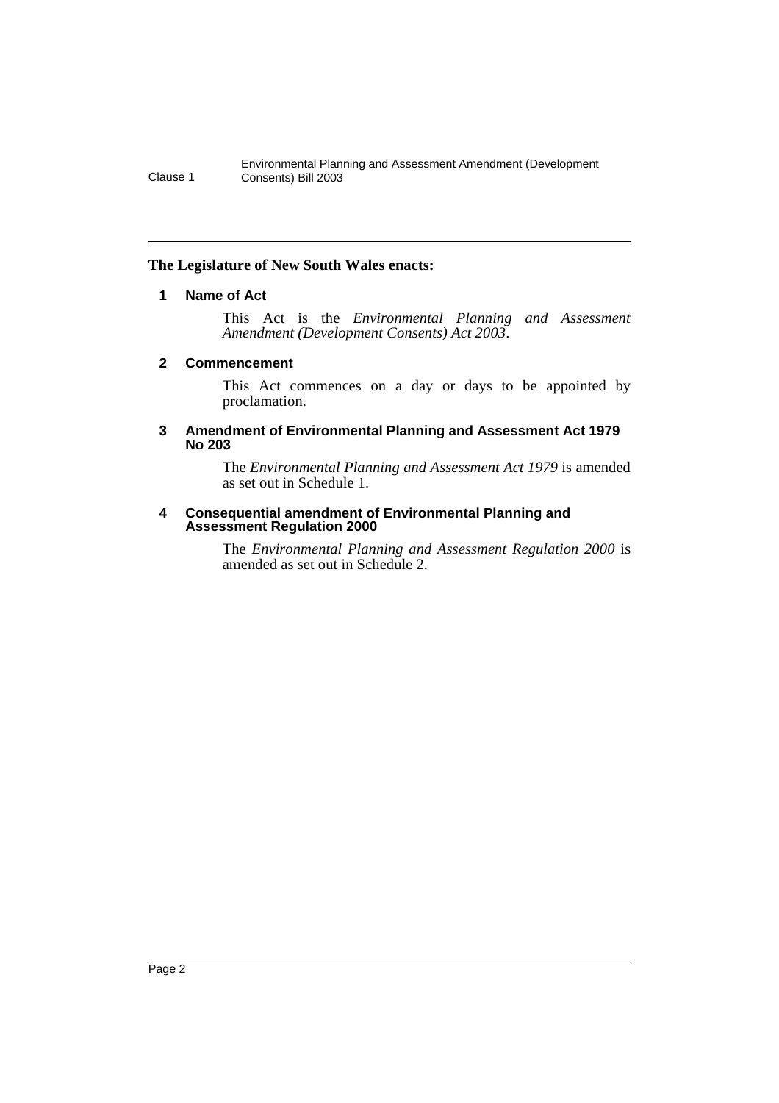## **The Legislature of New South Wales enacts:**

## **1 Name of Act**

This Act is the *Environmental Planning and Assessment Amendment (Development Consents) Act 2003*.

### **2 Commencement**

This Act commences on a day or days to be appointed by proclamation.

#### **3 Amendment of Environmental Planning and Assessment Act 1979 No 203**

The *Environmental Planning and Assessment Act 1979* is amended as set out in Schedule 1.

#### **4 Consequential amendment of Environmental Planning and Assessment Regulation 2000**

The *Environmental Planning and Assessment Regulation 2000* is amended as set out in Schedule 2.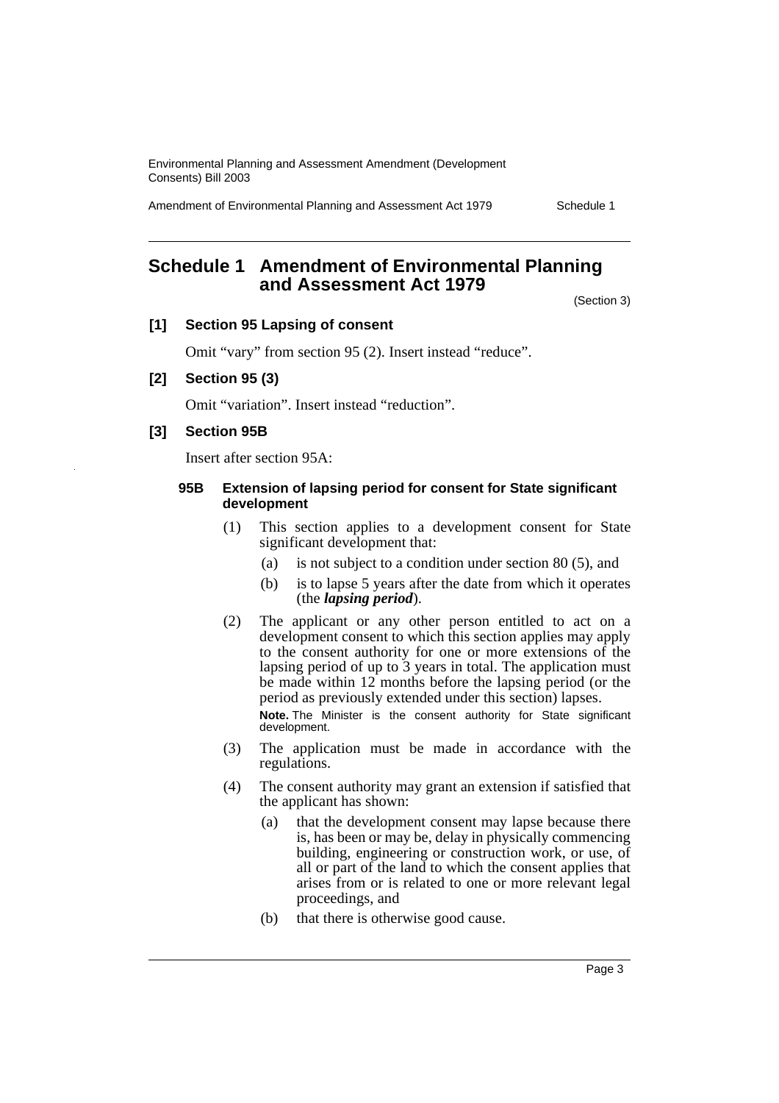Amendment of Environmental Planning and Assessment Act 1979 Schedule 1

## **Schedule 1 Amendment of Environmental Planning and Assessment Act 1979**

(Section 3)

### **[1] Section 95 Lapsing of consent**

Omit "vary" from section 95 (2). Insert instead "reduce".

#### **[2] Section 95 (3)**

Omit "variation". Insert instead "reduction".

### **[3] Section 95B**

Insert after section 95A:

#### **95B Extension of lapsing period for consent for State significant development**

- (1) This section applies to a development consent for State significant development that:
	- (a) is not subject to a condition under section 80 (5), and
	- (b) is to lapse 5 years after the date from which it operates (the *lapsing period*).
- (2) The applicant or any other person entitled to act on a development consent to which this section applies may apply to the consent authority for one or more extensions of the lapsing period of up to 3 years in total. The application must be made within 12 months before the lapsing period (or the period as previously extended under this section) lapses.

**Note.** The Minister is the consent authority for State significant development.

- (3) The application must be made in accordance with the regulations.
- (4) The consent authority may grant an extension if satisfied that the applicant has shown:
	- (a) that the development consent may lapse because there is, has been or may be, delay in physically commencing building, engineering or construction work, or use, of all or part of the land to which the consent applies that arises from or is related to one or more relevant legal proceedings, and
	- (b) that there is otherwise good cause.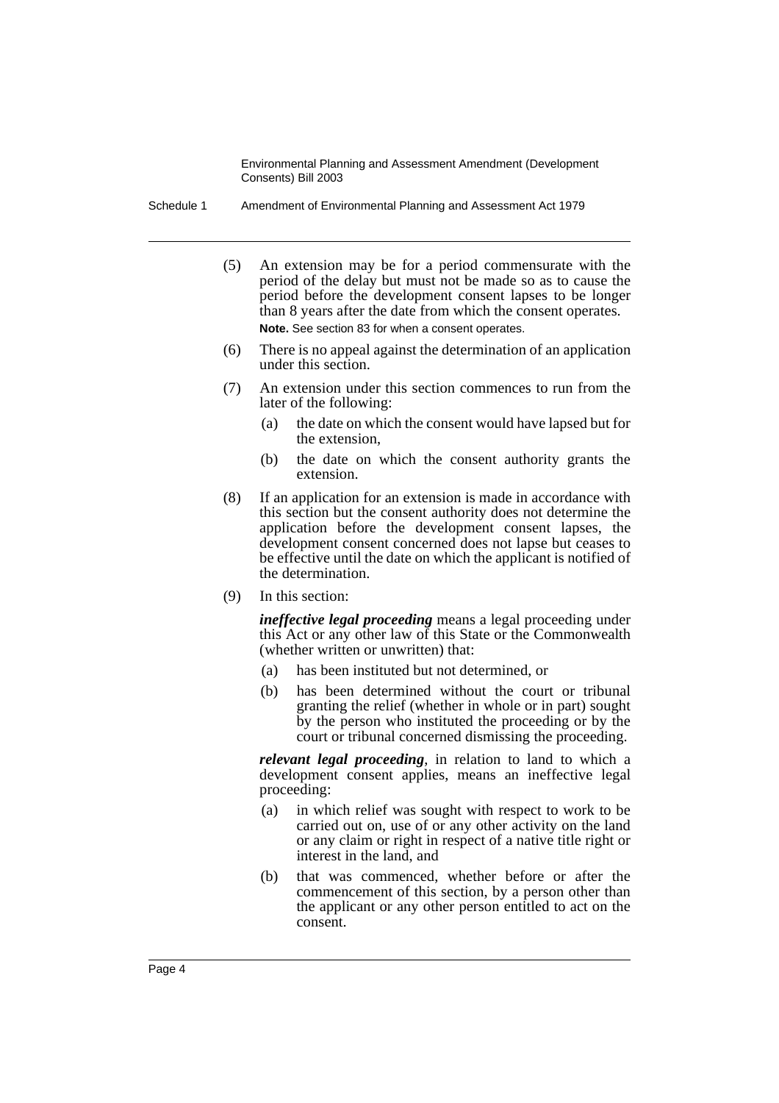Schedule 1 Amendment of Environmental Planning and Assessment Act 1979

- (5) An extension may be for a period commensurate with the period of the delay but must not be made so as to cause the period before the development consent lapses to be longer than 8 years after the date from which the consent operates. **Note.** See section 83 for when a consent operates.
- (6) There is no appeal against the determination of an application under this section.
- (7) An extension under this section commences to run from the later of the following:
	- (a) the date on which the consent would have lapsed but for the extension,
	- (b) the date on which the consent authority grants the extension.
- (8) If an application for an extension is made in accordance with this section but the consent authority does not determine the application before the development consent lapses, the development consent concerned does not lapse but ceases to be effective until the date on which the applicant is notified of the determination.
- (9) In this section:

*ineffective legal proceeding* means a legal proceeding under this Act or any other law of this State or the Commonwealth (whether written or unwritten) that:

- (a) has been instituted but not determined, or
- (b) has been determined without the court or tribunal granting the relief (whether in whole or in part) sought by the person who instituted the proceeding or by the court or tribunal concerned dismissing the proceeding.

*relevant legal proceeding*, in relation to land to which a development consent applies, means an ineffective legal proceeding:

- (a) in which relief was sought with respect to work to be carried out on, use of or any other activity on the land or any claim or right in respect of a native title right or interest in the land, and
- (b) that was commenced, whether before or after the commencement of this section, by a person other than the applicant or any other person entitled to act on the consent.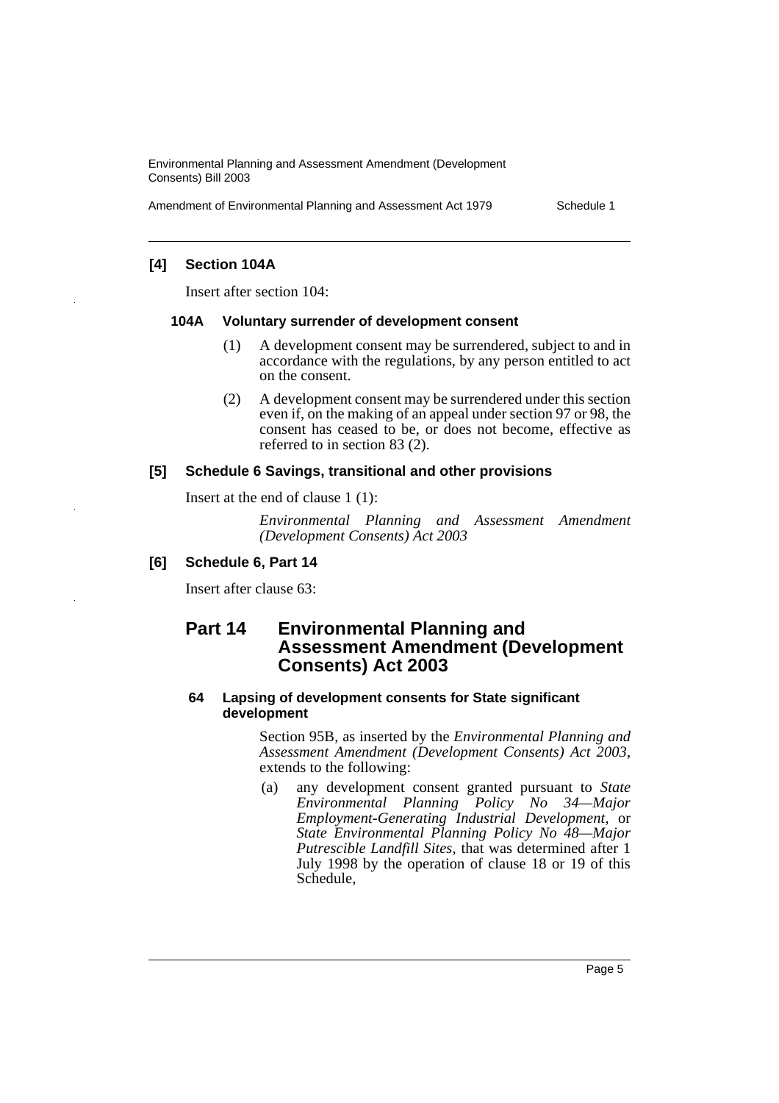Amendment of Environmental Planning and Assessment Act 1979 Schedule 1

## **[4] Section 104A**

Insert after section 104:

#### **104A Voluntary surrender of development consent**

- (1) A development consent may be surrendered, subject to and in accordance with the regulations, by any person entitled to act on the consent.
- (2) A development consent may be surrendered under this section even if, on the making of an appeal under section 97 or 98, the consent has ceased to be, or does not become, effective as referred to in section 83 (2).

#### **[5] Schedule 6 Savings, transitional and other provisions**

Insert at the end of clause 1 (1):

*Environmental Planning and Assessment Amendment (Development Consents) Act 2003*

### **[6] Schedule 6, Part 14**

Insert after clause 63:

## **Part 14 Environmental Planning and Assessment Amendment (Development Consents) Act 2003**

#### **64 Lapsing of development consents for State significant development**

Section 95B, as inserted by the *Environmental Planning and Assessment Amendment (Development Consents) Act 2003*, extends to the following:

(a) any development consent granted pursuant to *State Environmental Planning Policy No 34—Major Employment-Generating Industrial Development*, or *State Environmental Planning Policy No 48—Major Putrescible Landfill Sites*, that was determined after 1 July 1998 by the operation of clause 18 or 19 of this Schedule,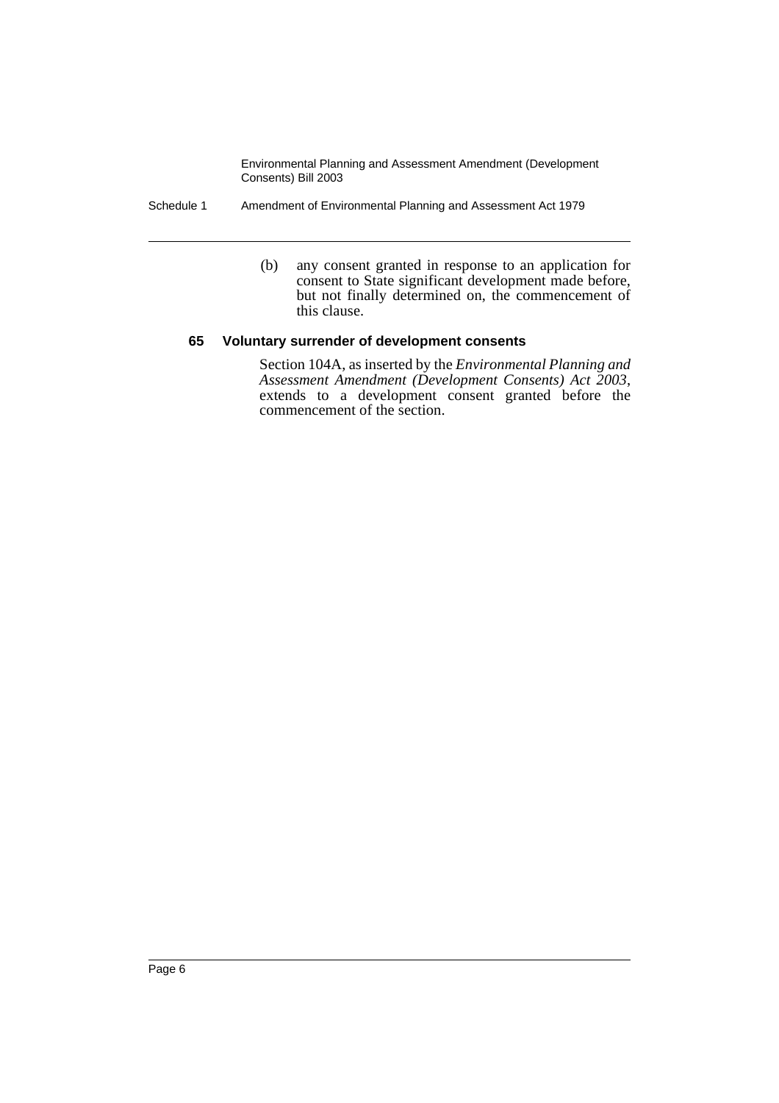- Schedule 1 Amendment of Environmental Planning and Assessment Act 1979
	- (b) any consent granted in response to an application for consent to State significant development made before, but not finally determined on, the commencement of this clause.

### **65 Voluntary surrender of development consents**

Section 104A, as inserted by the *Environmental Planning and* extends to a development consent granted before the commencement of the section.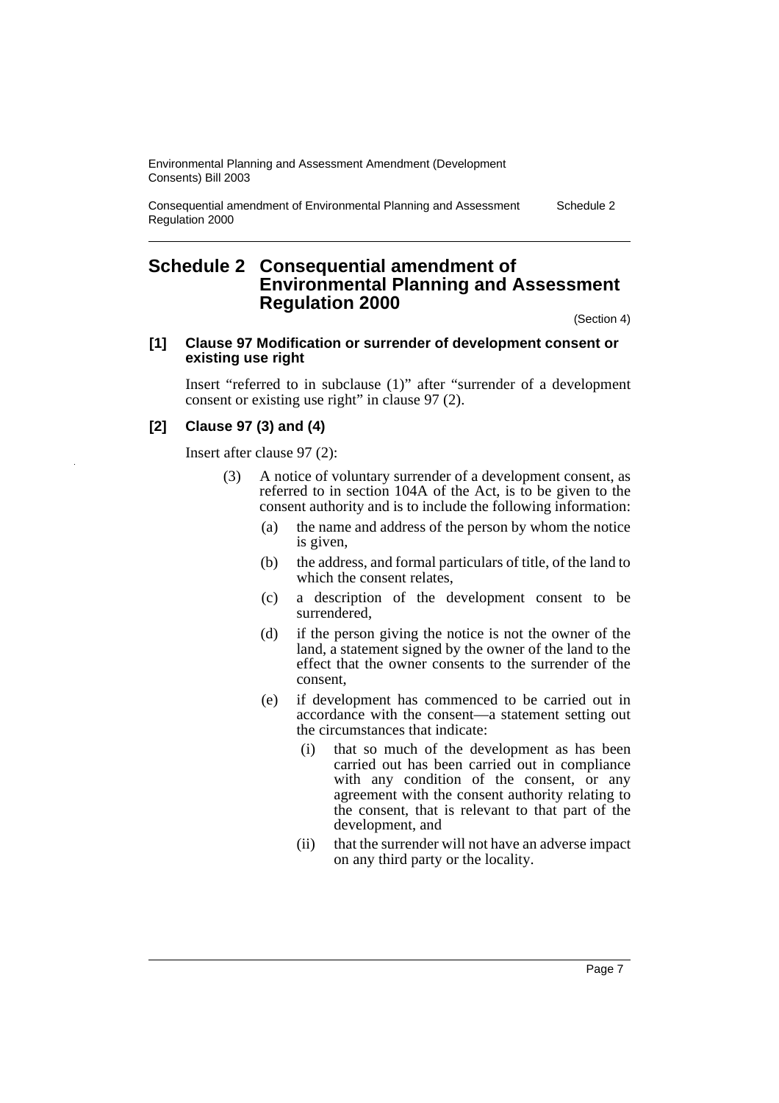Consequential amendment of Environmental Planning and Assessment Regulation 2000

Schedule 2

## **Schedule 2 Consequential amendment of Environmental Planning and Assessment Regulation 2000**

(Section 4)

#### **[1] Clause 97 Modification or surrender of development consent or existing use right**

Insert "referred to in subclause (1)" after "surrender of a development consent or existing use right" in clause 97 (2).

## **[2] Clause 97 (3) and (4)**

Insert after clause 97 (2):

- (3) A notice of voluntary surrender of a development consent, as referred to in section 104A of the Act, is to be given to the consent authority and is to include the following information:
	- (a) the name and address of the person by whom the notice is given,
	- (b) the address, and formal particulars of title, of the land to which the consent relates,
	- (c) a description of the development consent to be surrendered,
	- (d) if the person giving the notice is not the owner of the land, a statement signed by the owner of the land to the effect that the owner consents to the surrender of the consent,
	- (e) if development has commenced to be carried out in accordance with the consent—a statement setting out the circumstances that indicate:
		- (i) that so much of the development as has been carried out has been carried out in compliance with any condition of the consent, or any agreement with the consent authority relating to the consent, that is relevant to that part of the development, and
		- (ii) that the surrender will not have an adverse impact on any third party or the locality.